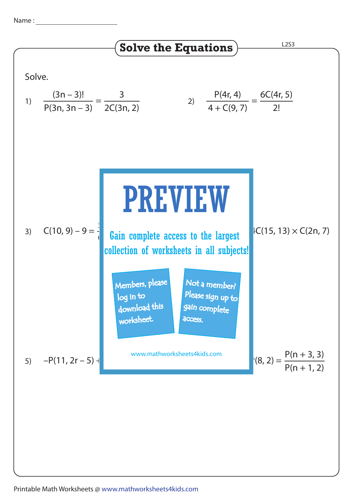